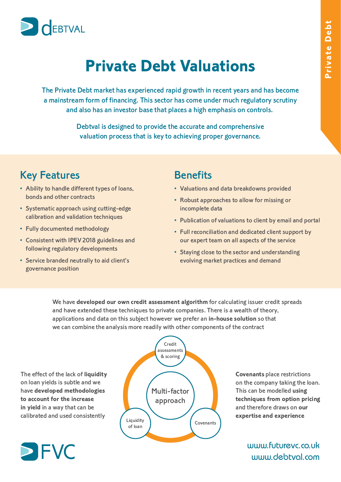

## **Private Debt Valuations**

The Private Debt market has experienced rapid growth in recent years and has become a mainstream form of financing. This sector has come under much regulatory scrutiny and also has an investor base that places a high emphasis on controls.

> Debtval is designed to provide the accurate and comprehensive valuation process that is key to achieving proper governance.

### Key Features

- Ability to handle different types of loans, bonds and other contracts
- Systematic approach using cutting-edge calibration and validation techniques
- Fully documented methodology
- Consistent with IPEV 2018 guidelines and following regulatory developments
- Service branded neutrally to aid client's governance position

# **Benefits**

- Valuations and data breakdowns provided
- Robust approaches to allow for missing or incomplete data
- Publication of valuations to client by email and portal
- Full reconciliation and dedicated client support by our expert team on all aspects of the service
- Staying close to the sector and understanding evolving market practices and demand

We have **developed our own credit assessment algorithm** for calculating issuer credit spreads and have extended these techniques to private companies. There is a wealth of theory, and have extended these techniques to private companies. There is a wealth of theory, applications and data on this subject however we prefer an **in-house solution** so that we can combine the analysis more readily with other components of the contract

The effect of the lack of **liquidity** have developed methodologies to account for the increase **tin yield in a way that can be in yield** in a way that can be calibrated and used consistently





**Covenants** place restrictions<br>on the company taking the loan. This can be modelled using techniques from option pricing and therefore draws on our and therefore draws on **our expertise and experience**

> www.futurevc.co.uk www.debtval.com